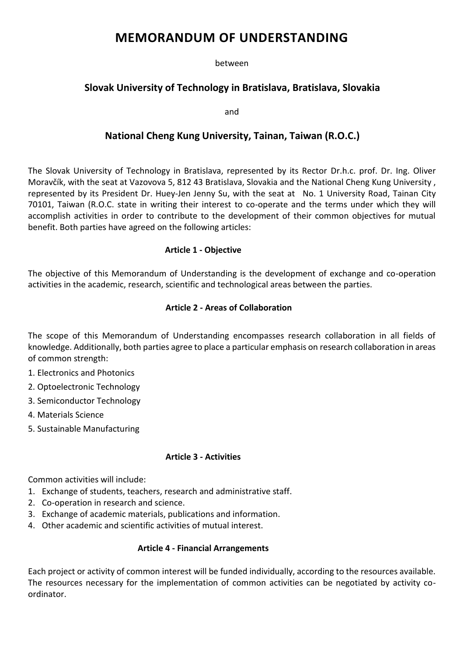# **MEMORANDUM OF UNDERSTANDING**

between

# **Slovak University of Technology in Bratislava, Bratislava, Slovakia**

and

# **National Cheng Kung University, Tainan, Taiwan (R.O.C.)**

The Slovak University of Technology in Bratislava, represented by its Rector Dr.h.c. prof. Dr. Ing. Oliver Moravčík, with the seat at Vazovova 5, 812 43 Bratislava, Slovakia and the National Cheng Kung University , represented by its President Dr. Huey-Jen Jenny Su, with the seat at No. 1 University Road, Tainan City 70101, Taiwan (R.O.C. state in writing their interest to co-operate and the terms under which they will accomplish activities in order to contribute to the development of their common objectives for mutual benefit. Both parties have agreed on the following articles:

## **Article 1 - Objective**

The objective of this Memorandum of Understanding is the development of exchange and co-operation activities in the academic, research, scientific and technological areas between the parties.

### **Article 2 - Areas of Collaboration**

The scope of this Memorandum of Understanding encompasses research collaboration in all fields of knowledge. Additionally, both parties agree to place a particular emphasis on research collaboration in areas of common strength:

- 1. Electronics and Photonics
- 2. Optoelectronic Technology
- 3. Semiconductor Technology
- 4. Materials Science
- 5. Sustainable Manufacturing

#### **Article 3 - Activities**

Common activities will include:

- 1. Exchange of students, teachers, research and administrative staff.
- 2. Co-operation in research and science.
- 3. Exchange of academic materials, publications and information.
- 4. Other academic and scientific activities of mutual interest.

#### **Article 4 - Financial Arrangements**

Each project or activity of common interest will be funded individually, according to the resources available. The resources necessary for the implementation of common activities can be negotiated by activity coordinator.